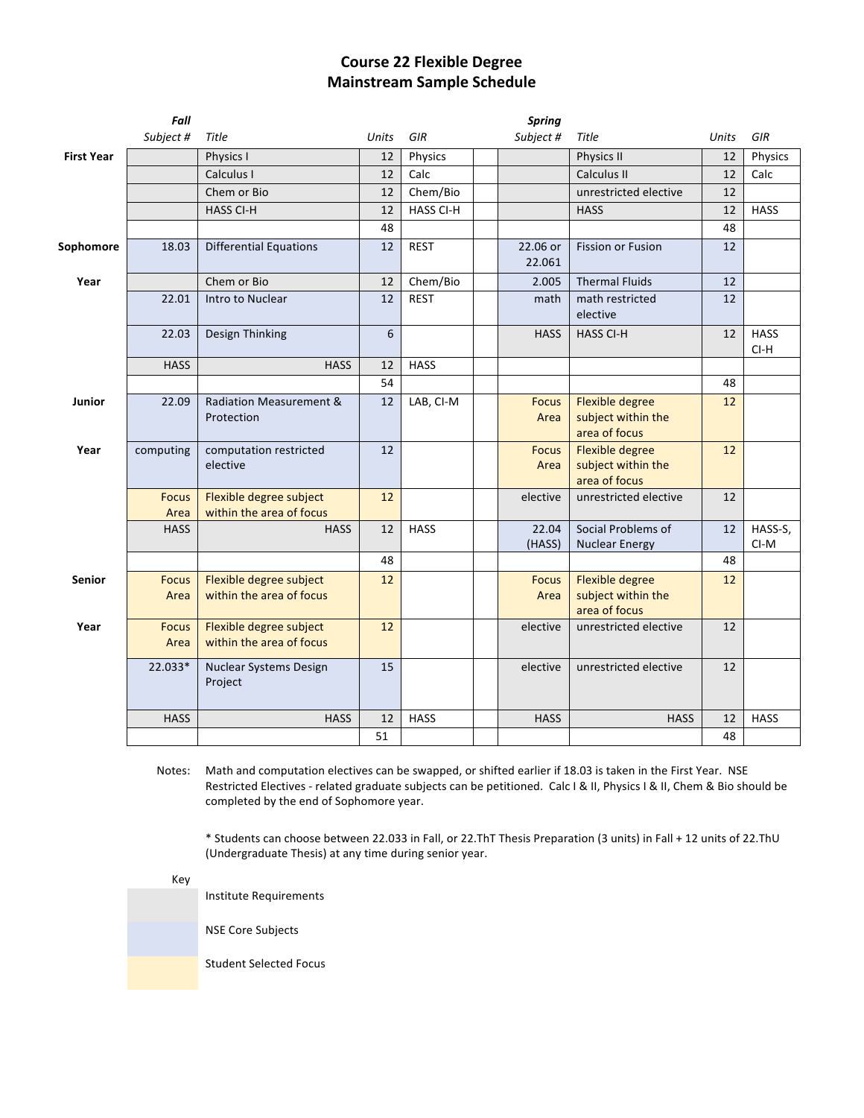## **Course 22 Flexible Degree Mainstream Sample Schedule**

|                   | Fall                 |                                                     |              |                  | <b>Spring</b>        |                                                               |              |                       |
|-------------------|----------------------|-----------------------------------------------------|--------------|------------------|----------------------|---------------------------------------------------------------|--------------|-----------------------|
|                   | Subject #            | Title                                               | <b>Units</b> | GIR              | Subject #            | Title                                                         | <b>Units</b> | GIR                   |
| <b>First Year</b> |                      | Physics I                                           | 12           | Physics          |                      | Physics II                                                    | 12           | Physics               |
|                   |                      | Calculus I                                          | 12           | Calc             |                      | Calculus II                                                   | 12           | Calc                  |
|                   |                      | Chem or Bio                                         | 12           | Chem/Bio         |                      | unrestricted elective                                         | 12           |                       |
|                   |                      | <b>HASS CI-H</b>                                    | 12           | <b>HASS CI-H</b> |                      | <b>HASS</b>                                                   | 12           | <b>HASS</b>           |
|                   |                      |                                                     | 48           |                  |                      |                                                               | 48           |                       |
| Sophomore         | 18.03                | <b>Differential Equations</b>                       | 12           | <b>REST</b>      | 22.06 or<br>22.061   | <b>Fission or Fusion</b>                                      | 12           |                       |
| Year              |                      | Chem or Bio                                         | 12           | Chem/Bio         | 2.005                | <b>Thermal Fluids</b>                                         | 12           |                       |
|                   | 22.01                | Intro to Nuclear                                    | 12           | <b>REST</b>      | math                 | math restricted<br>elective                                   | 12           |                       |
|                   | 22.03                | Design Thinking                                     | 6            |                  | <b>HASS</b>          | <b>HASS CI-H</b>                                              | 12           | <b>HASS</b><br>$CI-H$ |
|                   | <b>HASS</b>          | <b>HASS</b>                                         | 12           | <b>HASS</b>      |                      |                                                               |              |                       |
|                   |                      |                                                     | 54           |                  |                      |                                                               | 48           |                       |
| Junior            | 22.09                | <b>Radiation Measurement &amp;</b>                  | 12           | LAB, CI-M        | <b>Focus</b>         | <b>Flexible degree</b>                                        | 12           |                       |
|                   |                      | Protection                                          |              |                  | Area                 | subject within the<br>area of focus                           |              |                       |
| Year              | computing            | computation restricted<br>elective                  | 12           |                  | <b>Focus</b><br>Area | <b>Flexible degree</b><br>subject within the<br>area of focus | 12           |                       |
|                   | <b>Focus</b><br>Area | Flexible degree subject<br>within the area of focus | 12           |                  | elective             | unrestricted elective                                         | 12           |                       |
|                   | <b>HASS</b>          | <b>HASS</b>                                         | 12           | <b>HASS</b>      | 22.04<br>(HASS)      | Social Problems of<br><b>Nuclear Energy</b>                   | 12           | HASS-S,<br>CI-M       |
|                   |                      |                                                     | 48           |                  |                      |                                                               | 48           |                       |
| <b>Senior</b>     | <b>Focus</b><br>Area | Flexible degree subject<br>within the area of focus | 12           |                  | <b>Focus</b><br>Area | <b>Flexible degree</b><br>subject within the<br>area of focus | 12           |                       |
| Year              | <b>Focus</b><br>Area | Flexible degree subject<br>within the area of focus | 12           |                  | elective             | unrestricted elective                                         | 12           |                       |
|                   | 22.033*              | Nuclear Systems Design<br>Project                   | 15           |                  | elective             | unrestricted elective                                         | 12           |                       |
|                   | <b>HASS</b>          | <b>HASS</b>                                         | 12           | <b>HASS</b>      | <b>HASS</b>          | <b>HASS</b>                                                   | 12           | <b>HASS</b>           |
|                   |                      |                                                     | 51           |                  |                      |                                                               | 48           |                       |

Notes: Math and computation electives can be swapped, or shifted earlier if 18.03 is taken in the First Year. NSE Restricted Electives - related graduate subjects can be petitioned. Calc I & II, Physics I & II, Chem & Bio should be completed by the end of Sophomore year.

\* Students can choose between 22.033 in Fall, or 22.ThT Thesis Preparation (3 units) in Fall + 12 units of 22.ThU (Undergraduate Thesis) at any time during senior year.

Key

Institute Requirements NSE Core Subjects Student Selected Focus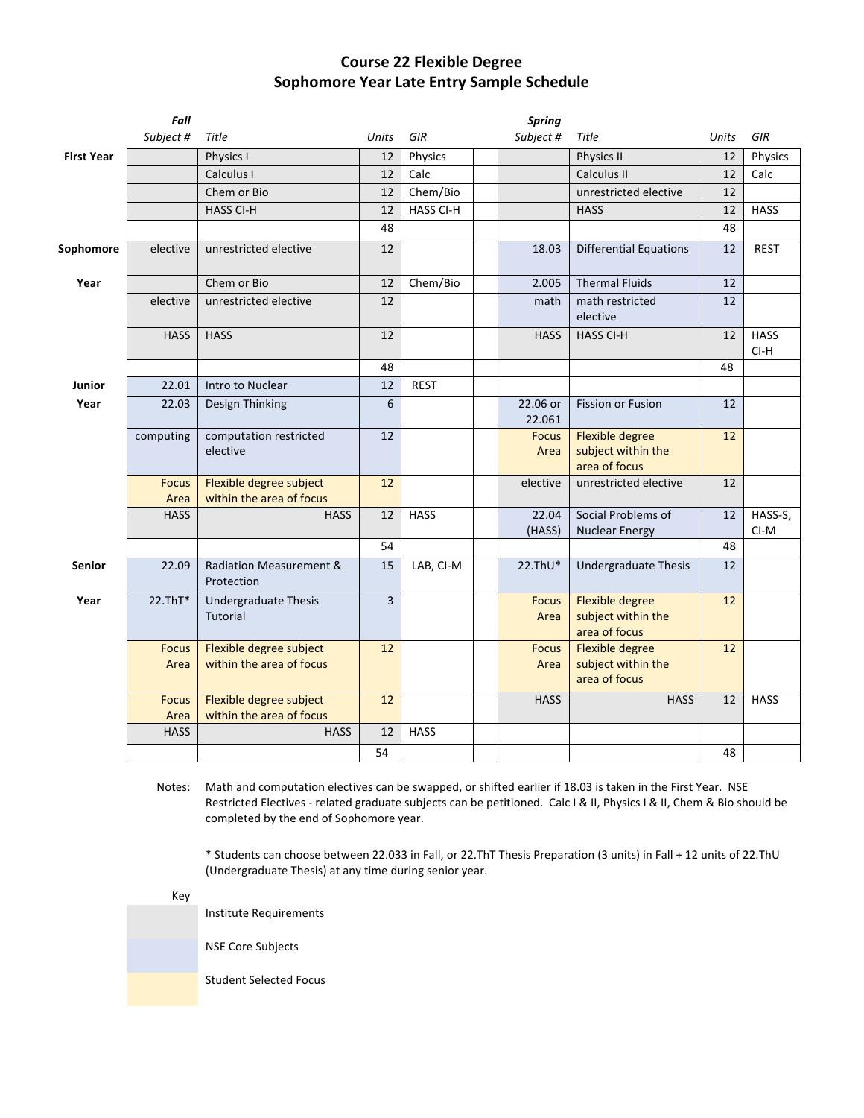## **Course 22 Flexible Degree Sophomore Year Late Entry Sample Schedule**

|                   | Fall                 |                                                     |          |                  | <b>Spring</b>        |                                                               |              |                       |
|-------------------|----------------------|-----------------------------------------------------|----------|------------------|----------------------|---------------------------------------------------------------|--------------|-----------------------|
|                   | Subject #            | Title                                               | Units    | GIR              | Subject #            | Title                                                         | <b>Units</b> | GIR                   |
| <b>First Year</b> |                      | Physics I                                           | 12       | Physics          |                      | Physics II                                                    | 12           | Physics               |
|                   |                      | Calculus I                                          | 12       | Calc             |                      | Calculus II                                                   | 12           | Calc                  |
|                   |                      | Chem or Bio                                         | 12       | Chem/Bio         |                      | unrestricted elective                                         | 12           |                       |
|                   |                      | <b>HASS CI-H</b>                                    | 12       | <b>HASS CI-H</b> |                      | <b>HASS</b>                                                   | 12           | <b>HASS</b>           |
|                   |                      |                                                     | 48       |                  |                      |                                                               | 48           |                       |
| Sophomore         | elective             | unrestricted elective                               | 12       |                  | 18.03                | <b>Differential Equations</b>                                 | 12           | <b>REST</b>           |
| Year              |                      | Chem or Bio                                         | 12       | Chem/Bio         | 2.005                | <b>Thermal Fluids</b>                                         | 12           |                       |
|                   | elective             | unrestricted elective                               | 12       |                  | math                 | math restricted<br>elective                                   | 12           |                       |
|                   | <b>HASS</b>          | <b>HASS</b>                                         | 12       |                  | <b>HASS</b>          | <b>HASS CI-H</b>                                              | 12           | <b>HASS</b><br>$CI-H$ |
|                   |                      |                                                     | 48       |                  |                      |                                                               | 48           |                       |
| Junior            | 22.01                | Intro to Nuclear                                    | 12       | <b>REST</b>      |                      |                                                               |              |                       |
| Year              | 22.03                | Design Thinking                                     | 6        |                  | 22.06 or<br>22.061   | <b>Fission or Fusion</b>                                      | 12           |                       |
|                   | computing            | computation restricted<br>elective                  | 12       |                  | <b>Focus</b><br>Area | <b>Flexible degree</b><br>subject within the<br>area of focus | 12           |                       |
|                   | <b>Focus</b><br>Area | Flexible degree subject<br>within the area of focus | 12       |                  | elective             | unrestricted elective                                         | 12           |                       |
|                   | <b>HASS</b>          | <b>HASS</b>                                         | 12<br>54 | <b>HASS</b>      | 22.04<br>(HASS)      | Social Problems of<br><b>Nuclear Energy</b>                   | 12<br>48     | HASS-S,<br>CI-M       |
| <b>Senior</b>     | 22.09                | <b>Radiation Measurement &amp;</b><br>Protection    | 15       | LAB, CI-M        | 22.ThU*              | <b>Undergraduate Thesis</b>                                   | 12           |                       |
| Year              | $22.ThT*$            | Undergraduate Thesis<br><b>Tutorial</b>             | 3        |                  | <b>Focus</b><br>Area | <b>Flexible degree</b><br>subject within the<br>area of focus | 12           |                       |
|                   | <b>Focus</b><br>Area | Flexible degree subject<br>within the area of focus | 12       |                  | <b>Focus</b><br>Area | <b>Flexible degree</b><br>subject within the<br>area of focus | 12           |                       |
|                   | <b>Focus</b><br>Area | Flexible degree subject<br>within the area of focus | 12       |                  | <b>HASS</b>          | <b>HASS</b>                                                   | 12           | <b>HASS</b>           |
|                   | <b>HASS</b>          | <b>HASS</b>                                         | 12       | <b>HASS</b>      |                      |                                                               |              |                       |
|                   |                      |                                                     | 54       |                  |                      |                                                               | 48           |                       |

Notes: Math and computation electives can be swapped, or shifted earlier if 18.03 is taken in the First Year. NSE Restricted Electives - related graduate subjects can be petitioned. Calc I & II, Physics I & II, Chem & Bio should be completed by the end of Sophomore year.

\* Students can choose between 22.033 in Fall, or 22.ThT Thesis Preparation (3 units) in Fall + 12 units of 22.ThU (Undergraduate Thesis) at any time during senior year.

Key

Institute Requirements

**NSE Core Subjects** 

Student Selected Focus